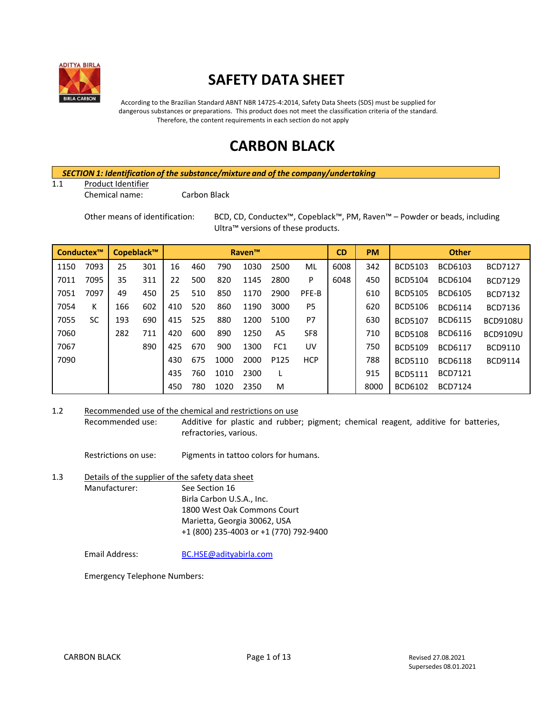

# **SAFETY DATA SHEET**

According to the Brazilian Standard ABNT NBR 14725-4:2014, Safety Data Sheets (SDS) must be supplied for dangerous substances or preparations. This product does not meet the classification criteria of the standard. Therefore, the content requirements in each section do not apply

# **CARBON BLACK**

*SECTION 1: Identification of the substance/mixture and of the company/undertaking*

1.1 Product Identifier

Chemical name: Carbon Black

Other means of identification: BCD, CD, Conductex™, Copeblack™, PM, Raven™ – Powder or beads, including Ultra™ versions of these products.

| Copeblack™<br>Conductex™ |      | <b>Raven™</b> |     |     |     | <b>CD</b> | <b>PM</b> |                 | <b>Other</b>    |      |      |                |                |                 |
|--------------------------|------|---------------|-----|-----|-----|-----------|-----------|-----------------|-----------------|------|------|----------------|----------------|-----------------|
| 1150                     | 7093 | 25            | 301 | 16  | 460 | 790       | 1030      | 2500            | ML              | 6008 | 342  | <b>BCD5103</b> | BCD6103        | <b>BCD7127</b>  |
| 7011                     | 7095 | 35            | 311 | 22  | 500 | 820       | 1145      | 2800            | P               | 6048 | 450  | <b>BCD5104</b> | BCD6104        | <b>BCD7129</b>  |
| 7051                     | 7097 | 49            | 450 | 25  | 510 | 850       | 1170      | 2900            | PFE-B           |      | 610  | <b>BCD5105</b> | <b>BCD6105</b> | <b>BCD7132</b>  |
| 7054                     | K    | 166           | 602 | 410 | 520 | 860       | 1190      | 3000            | P <sub>5</sub>  |      | 620  | <b>BCD5106</b> | <b>BCD6114</b> | <b>BCD7136</b>  |
| 7055                     | SC   | 193           | 690 | 415 | 525 | 880       | 1200      | 5100            | P7              |      | 630  | <b>BCD5107</b> | <b>BCD6115</b> | <b>BCD9108U</b> |
| 7060                     |      | 282           | 711 | 420 | 600 | 890       | 1250      | A5              | SF <sub>8</sub> |      | 710  | <b>BCD5108</b> | <b>BCD6116</b> | <b>BCD9109U</b> |
| 7067                     |      |               | 890 | 425 | 670 | 900       | 1300      | FC <sub>1</sub> | UV              |      | 750  | <b>BCD5109</b> | <b>BCD6117</b> | BCD9110         |
| 7090                     |      |               |     | 430 | 675 | 1000      | 2000      | P125            | <b>HCP</b>      |      | 788  | <b>BCD5110</b> | <b>BCD6118</b> | <b>BCD9114</b>  |
|                          |      |               |     | 435 | 760 | 1010      | 2300      |                 |                 |      | 915  | <b>BCD5111</b> | <b>BCD7121</b> |                 |
|                          |      |               |     | 450 | 780 | 1020      | 2350      | M               |                 |      | 8000 | BCD6102        | <b>BCD7124</b> |                 |

1.2 Recommended use of the chemical and restrictions on use

Recommended use: Additive for plastic and rubber; pigment; chemical reagent, additive for batteries, refractories, various.

Restrictions on use: Pigments in tattoo colors for humans.

1.3 Details of the supplier of the safety data sheet Manufacturer: See Section 16 Birla Carbon U.S.A., Inc. 1800 West Oak Commons Court Marietta, Georgia 30062, USA +1 (800) 235-4003 or +1 (770) 792-9400

Email Address: [BC.HSE@adityabirla.com](mailto:BC.HSE@adityabirla.com)

Emergency Telephone Numbers: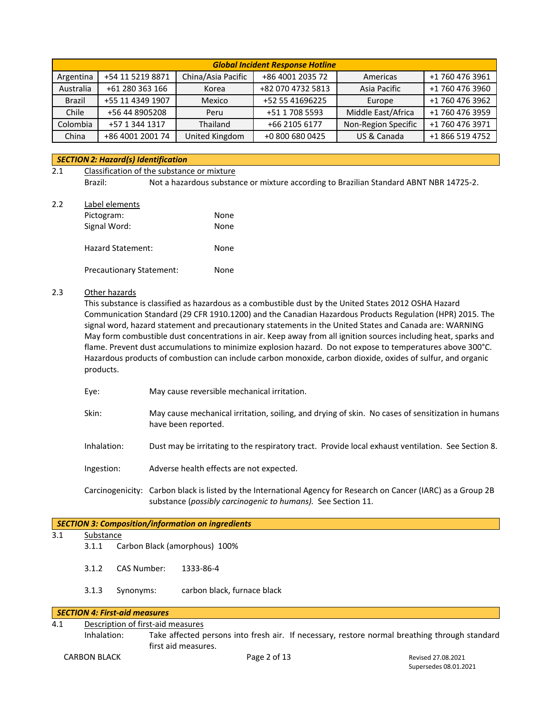|           | <b>Global Incident Response Hotline</b> |                    |                   |                     |                 |  |  |
|-----------|-----------------------------------------|--------------------|-------------------|---------------------|-----------------|--|--|
| Argentina | +54 11 5219 8871                        | China/Asia Pacific | +86 4001 2035 72  | Americas            | +1 760 476 3961 |  |  |
| Australia | +61 280 363 166                         | Korea              | +82 070 4732 5813 | Asia Pacific        | +1 760 476 3960 |  |  |
| Brazil    | +55 11 4349 1907                        | Mexico             | +52 55 41696225   | Europe              | +1 760 476 3962 |  |  |
| Chile     | +56 44 8905208                          | Peru               | +51 1 708 5593    | Middle East/Africa  | +1 760 476 3959 |  |  |
| Colombia  | +57 1 344 1317                          | Thailand           | +66 2105 6177     | Non-Region Specific | +1 760 476 3971 |  |  |
| China     | +86 4001 2001 74                        | United Kingdom     | +0 800 680 0425   | US & Canada         | +1 866 519 4752 |  |  |

## *SECTION 2: Hazard(s) Identification*

## 2.1 Classification of the substance or mixture Brazil: Not a hazardous substance or mixture according to Brazilian Standard ABNT NBR 14725-2.

2.2 Label elements Pictogram: None

| Signal Word:                    | None |
|---------------------------------|------|
| Hazard Statement:               | None |
| <b>Precautionary Statement:</b> | None |

## 2.3 Other hazards

This substance is classified as hazardous as a combustible dust by the United States 2012 OSHA Hazard Communication Standard (29 CFR 1910.1200) and the Canadian Hazardous Products Regulation (HPR) 2015. The signal word, hazard statement and precautionary statements in the United States and Canada are: WARNING May form combustible dust concentrations in air. Keep away from all ignition sources including heat, sparks and flame. Prevent dust accumulations to minimize explosion hazard. Do not expose to temperatures above 300°C. Hazardous products of combustion can include carbon monoxide, carbon dioxide, oxides of sulfur, and organic products.

- Eye: May cause reversible mechanical irritation.
- Skin: May cause mechanical irritation, soiling, and drying of skin. No cases of sensitization in humans have been reported.
- Inhalation: Dust may be irritating to the respiratory tract. Provide local exhaust ventilation. See Section 8.
- Ingestion: Adverse health effects are not expected.
- Carcinogenicity: Carbon black is listed by the International Agency for Research on Cancer (IARC) as a Group 2B substance (*possibly carcinogenic to humans).* See Section 11.

|     |                                                                                                                                    |             | <b>SECTION 3: Composition/information on ingredients</b> |  |  |  |  |  |
|-----|------------------------------------------------------------------------------------------------------------------------------------|-------------|----------------------------------------------------------|--|--|--|--|--|
| 3.1 | Substance                                                                                                                          |             |                                                          |  |  |  |  |  |
|     | 3.1.1                                                                                                                              |             | Carbon Black (amorphous) 100%                            |  |  |  |  |  |
|     | 3.1.2                                                                                                                              | CAS Number: | 1333-86-4                                                |  |  |  |  |  |
|     | 3.1.3                                                                                                                              | Synonyms:   | carbon black, furnace black                              |  |  |  |  |  |
|     | <b>SECTION 4: First-aid measures</b>                                                                                               |             |                                                          |  |  |  |  |  |
| 4.1 | Description of first-aid measures                                                                                                  |             |                                                          |  |  |  |  |  |
|     | Take affected persons into fresh air. If necessary, restore normal breathing through standard<br>Inhalation:<br>first aid measures |             |                                                          |  |  |  |  |  |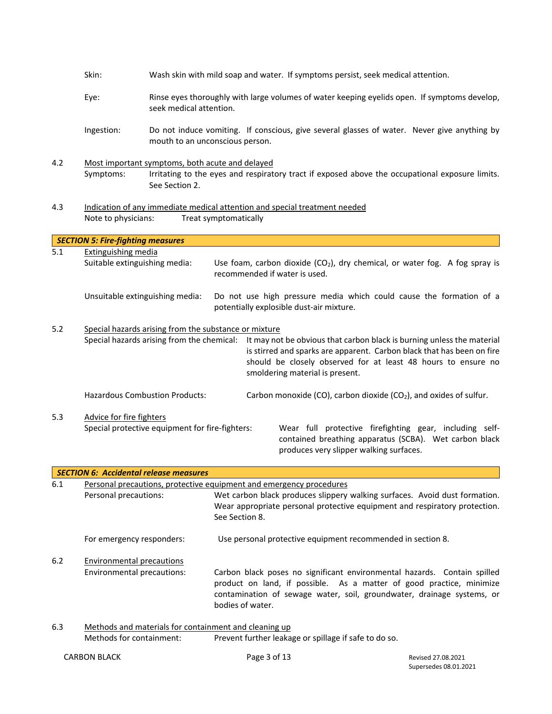|       | Skin:                                                          |                                                                                                                                                                                                                                                                                                                                                             |                                                                                                                                                    | Wash skin with mild soap and water. If symptoms persist, seek medical attention.                                                                                                                                           |  |  |
|-------|----------------------------------------------------------------|-------------------------------------------------------------------------------------------------------------------------------------------------------------------------------------------------------------------------------------------------------------------------------------------------------------------------------------------------------------|----------------------------------------------------------------------------------------------------------------------------------------------------|----------------------------------------------------------------------------------------------------------------------------------------------------------------------------------------------------------------------------|--|--|
|       | Eye:                                                           | seek medical attention.                                                                                                                                                                                                                                                                                                                                     |                                                                                                                                                    | Rinse eyes thoroughly with large volumes of water keeping eyelids open. If symptoms develop,                                                                                                                               |  |  |
|       | Ingestion:                                                     |                                                                                                                                                                                                                                                                                                                                                             | mouth to an unconscious person.                                                                                                                    | Do not induce vomiting. If conscious, give several glasses of water. Never give anything by                                                                                                                                |  |  |
| 4.2   | Symptoms:                                                      | See Section 2.                                                                                                                                                                                                                                                                                                                                              | Most important symptoms, both acute and delayed<br>Irritating to the eyes and respiratory tract if exposed above the occupational exposure limits. |                                                                                                                                                                                                                            |  |  |
| 4.3   | Note to physicians:                                            |                                                                                                                                                                                                                                                                                                                                                             | Treat symptomatically                                                                                                                              | Indication of any immediate medical attention and special treatment needed                                                                                                                                                 |  |  |
|       | <b>SECTION 5: Fire-fighting measures</b>                       |                                                                                                                                                                                                                                                                                                                                                             |                                                                                                                                                    |                                                                                                                                                                                                                            |  |  |
| 5.1   | <b>Extinguishing media</b><br>Suitable extinguishing media:    |                                                                                                                                                                                                                                                                                                                                                             | recommended if water is used.                                                                                                                      | Use foam, carbon dioxide $(CO2)$ , dry chemical, or water fog. A fog spray is                                                                                                                                              |  |  |
|       | Unsuitable extinguishing media:                                |                                                                                                                                                                                                                                                                                                                                                             |                                                                                                                                                    | Do not use high pressure media which could cause the formation of a<br>potentially explosible dust-air mixture.                                                                                                            |  |  |
| 5.2   |                                                                | Special hazards arising from the substance or mixture<br>Special hazards arising from the chemical:<br>It may not be obvious that carbon black is burning unless the material<br>is stirred and sparks are apparent. Carbon black that has been on fire<br>should be closely observed for at least 48 hours to ensure no<br>smoldering material is present. |                                                                                                                                                    |                                                                                                                                                                                                                            |  |  |
|       | <b>Hazardous Combustion Products:</b>                          |                                                                                                                                                                                                                                                                                                                                                             |                                                                                                                                                    | Carbon monoxide (CO), carbon dioxide (CO <sub>2</sub> ), and oxides of sulfur.                                                                                                                                             |  |  |
| 5.3   | Advice for fire fighters                                       | Special protective equipment for fire-fighters:                                                                                                                                                                                                                                                                                                             |                                                                                                                                                    | Wear full protective firefighting gear, including self-<br>contained breathing apparatus (SCBA). Wet carbon black<br>produces very slipper walking surfaces.                                                               |  |  |
|       | <b>SECTION 6: Accidental release measures</b>                  |                                                                                                                                                                                                                                                                                                                                                             |                                                                                                                                                    |                                                                                                                                                                                                                            |  |  |
| 6.1   |                                                                |                                                                                                                                                                                                                                                                                                                                                             |                                                                                                                                                    | Personal precautions, protective equipment and emergency procedures                                                                                                                                                        |  |  |
|       | Personal precautions:                                          |                                                                                                                                                                                                                                                                                                                                                             | See Section 8.                                                                                                                                     | Wet carbon black produces slippery walking surfaces. Avoid dust formation.<br>Wear appropriate personal protective equipment and respiratory protection.                                                                   |  |  |
|       | For emergency responders:                                      |                                                                                                                                                                                                                                                                                                                                                             |                                                                                                                                                    | Use personal protective equipment recommended in section 8.                                                                                                                                                                |  |  |
| $6.2$ | <b>Environmental precautions</b><br>Environmental precautions: |                                                                                                                                                                                                                                                                                                                                                             | bodies of water.                                                                                                                                   | Carbon black poses no significant environmental hazards. Contain spilled<br>product on land, if possible. As a matter of good practice, minimize<br>contamination of sewage water, soil, groundwater, drainage systems, or |  |  |
| 6.3   | Methods for containment:                                       |                                                                                                                                                                                                                                                                                                                                                             | Methods and materials for containment and cleaning up                                                                                              | Prevent further leakage or spillage if safe to do so.                                                                                                                                                                      |  |  |

CARBON BLACK Page 3 of 13 Revised 27.08.2021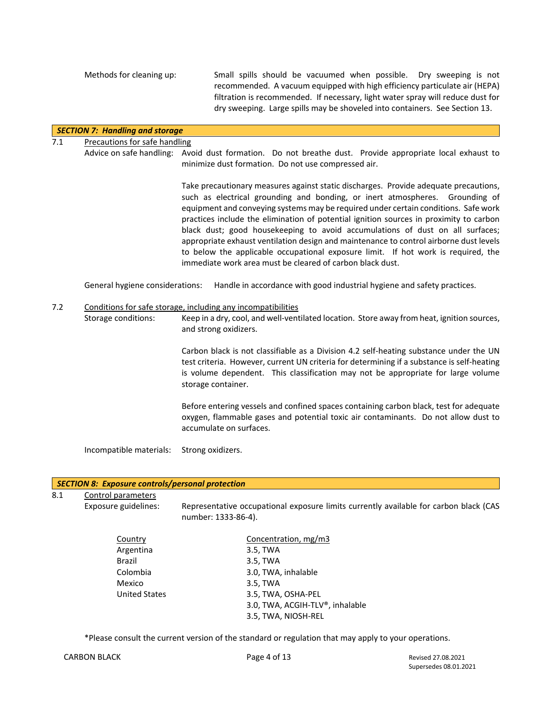Methods for cleaning up: Small spills should be vacuumed when possible. Dry sweeping is not recommended. A vacuum equipped with high efficiency particulate air (HEPA) filtration is recommended. If necessary, light water spray will reduce dust for dry sweeping. Large spills may be shoveled into containers. See Section 13.

## *SECTION 7: Handling and storage*

## 7.1 Precautions for safe handling

Advice on safe handling: Avoid dust formation. Do not breathe dust. Provide appropriate local exhaust to minimize dust formation. Do not use compressed air.

> Take precautionary measures against static discharges. Provide adequate precautions, such as electrical grounding and bonding, or inert atmospheres. Grounding of equipment and conveying systems may be required under certain conditions. Safe work practices include the elimination of potential ignition sources in proximity to carbon black dust; good housekeeping to avoid accumulations of dust on all surfaces; appropriate exhaust ventilation design and maintenance to control airborne dust levels to below the applicable occupational exposure limit. If hot work is required, the immediate work area must be cleared of carbon black dust.

General hygiene considerations: Handle in accordance with good industrial hygiene and safety practices.

## 7.2 Conditions for safe storage, including any incompatibilities

Storage conditions: Keep in a dry, cool, and well-ventilated location. Store away from heat, ignition sources, and strong oxidizers.

> Carbon black is not classifiable as a Division 4.2 self-heating substance under the UN test criteria. However, current UN criteria for determining if a substance is self-heating is volume dependent. This classification may not be appropriate for large volume storage container.

> Before entering vessels and confined spaces containing carbon black, test for adequate oxygen, flammable gases and potential toxic air contaminants. Do not allow dust to accumulate on surfaces.

Incompatible materials: Strong oxidizers.

## *SECTION 8: Exposure controls/personal protection*

8.1 Control parameters

Exposure guidelines: Representative occupational exposure limits currently available for carbon black (CAS number: 1333-86-4).

| Country              | Concentration, mg/m3            |
|----------------------|---------------------------------|
| Argentina            | 3.5, TWA                        |
| Brazil               | 3.5, TWA                        |
| Colombia             | 3.0, TWA, inhalable             |
| Mexico               | 3.5, TWA                        |
| <b>United States</b> | 3.5, TWA, OSHA-PEL              |
|                      | 3.0, TWA, ACGIH-TLV®, inhalable |
|                      | 3.5, TWA, NIOSH-REL             |
|                      |                                 |

\*Please consult the current version of the standard or regulation that may apply to your operations.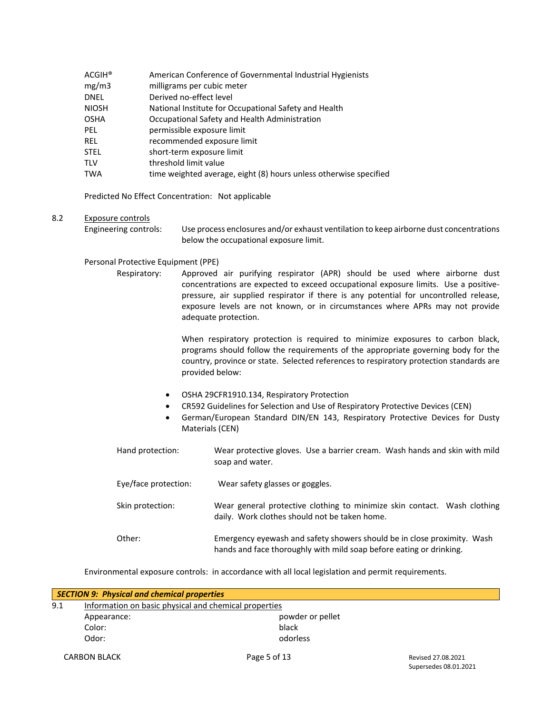| $ACGIH^*$    | American Conference of Governmental Industrial Hygienists         |
|--------------|-------------------------------------------------------------------|
| mg/m3        | milligrams per cubic meter                                        |
| <b>DNEL</b>  | Derived no-effect level                                           |
| <b>NIOSH</b> | National Institute for Occupational Safety and Health             |
| <b>OSHA</b>  | Occupational Safety and Health Administration                     |
| PEL.         | permissible exposure limit                                        |
| <b>REL</b>   | recommended exposure limit                                        |
| <b>STEL</b>  | short-term exposure limit                                         |
| <b>TLV</b>   | threshold limit value                                             |
| <b>TWA</b>   | time weighted average, eight (8) hours unless otherwise specified |

Predicted No Effect Concentration: Not applicable

## 8.2 Exposure controls

Engineering controls: Use process enclosures and/or exhaust ventilation to keep airborne dust concentrations below the occupational exposure limit.

## Personal Protective Equipment (PPE)

Respiratory: Approved air purifying respirator (APR) should be used where airborne dust concentrations are expected to exceed occupational exposure limits. Use a positivepressure, air supplied respirator if there is any potential for uncontrolled release, exposure levels are not known, or in circumstances where APRs may not provide adequate protection.

> When respiratory protection is required to minimize exposures to carbon black, programs should follow the requirements of the appropriate governing body for the country, province or state. Selected references to respiratory protection standards are provided below:

- OSHA 29CFR1910.134, Respiratory Protection
- CR592 Guidelines for Selection and Use of Respiratory Protective Devices (CEN)
- German/European Standard DIN/EN 143, Respiratory Protective Devices for Dusty Materials (CEN)

| Hand protection:     | Wear protective gloves. Use a barrier cream. Wash hands and skin with mild<br>soap and water.                                                  |
|----------------------|------------------------------------------------------------------------------------------------------------------------------------------------|
| Eye/face protection: | Wear safety glasses or goggles.                                                                                                                |
| Skin protection:     | Wear general protective clothing to minimize skin contact. Wash clothing<br>daily. Work clothes should not be taken home.                      |
| Other:               | Emergency eyewash and safety showers should be in close proximity. Wash<br>hands and face thoroughly with mild soap before eating or drinking. |

Environmental exposure controls: in accordance with all local legislation and permit requirements.

|     | <b>SECTION 9: Physical and chemical properties</b>    |                  |
|-----|-------------------------------------------------------|------------------|
| 9.1 | Information on basic physical and chemical properties |                  |
|     | Appearance:                                           | powder or pellet |
|     | Color:                                                | black            |
|     | Odor:                                                 | odorless         |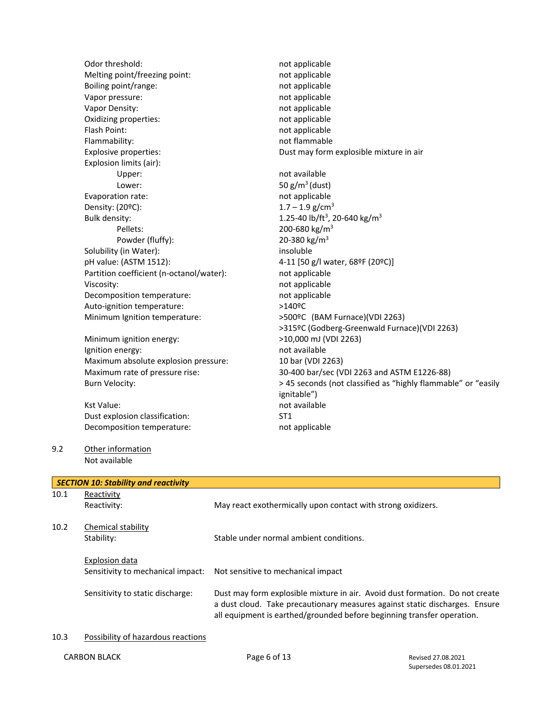Odor threshold: not applicable not applicable Melting point/freezing point: not applicable Boiling point/range: not applicable Vapor pressure: not applicable Vapor Density: and applicable here is a state of the mot applicable Oxidizing properties: not applicable Flash Point: not applicable Flammability: not flammable Explosive properties: Dust may form explosible mixture in air Explosion limits (air): Upper: not available Lower:  $50 g/m<sup>3</sup>$  (dust) Evaporation rate: not applicable Density:  $(20^{\circ}C)$ : 1.7 – 1.9 g/cm<sup>3</sup> Bulk density:  $1.25-40$  lb/ft<sup>3</sup>, 20-640 kg/m<sup>3</sup> Pellets: 200-680 kg/m<sup>3</sup> Powder (fluffy):  $20-380 \text{ kg/m}^3$ Solubility (in Water): insoluble pH value: (ASTM 1512): 4-11 [50 g/l water, 68ºF (20ºC)] Partition coefficient (n-octanol/water): not applicable Viscosity:  $\blacksquare$ Decomposition temperature: not applicable Auto-ignition temperature: >140°C Minimum Ignition temperature: >500ºC (BAM Furnace)(VDI 2263) >315ºC (Godberg-Greenwald Furnace)(VDI 2263) Minimum ignition energy: >10,000 mJ (VDI 2263) Ignition energy:  $\qquad \qquad \qquad$  not available Maximum absolute explosion pressure: 10 bar (VDI 2263) Maximum rate of pressure rise: 30-400 bar/sec (VDI 2263 and ASTM E1226-88) Burn Velocity:  $> 45$  seconds (not classified as "highly flammable" or "easily ignitable") Kst Value: not available Dust explosion classification: ST1 Decomposition temperature: not applicable 9.2 Other information Not available *SECTION 10: Stability and reactivity* 10.1 Reactivity Reactivity: May react exothermically upon contact with strong oxidizers. 10.2 Chemical stability Stability: Stable under normal ambient conditions.

Explosion data Sensitivity to mechanical impact: Not sensitive to mechanical impact Sensitivity to static discharge: Dust may form explosible mixture in air. Avoid dust formation. Do not create

10.3 Possibility of hazardous reactions

a dust cloud. Take precautionary measures against static discharges. Ensure all equipment is earthed/grounded before beginning transfer operation.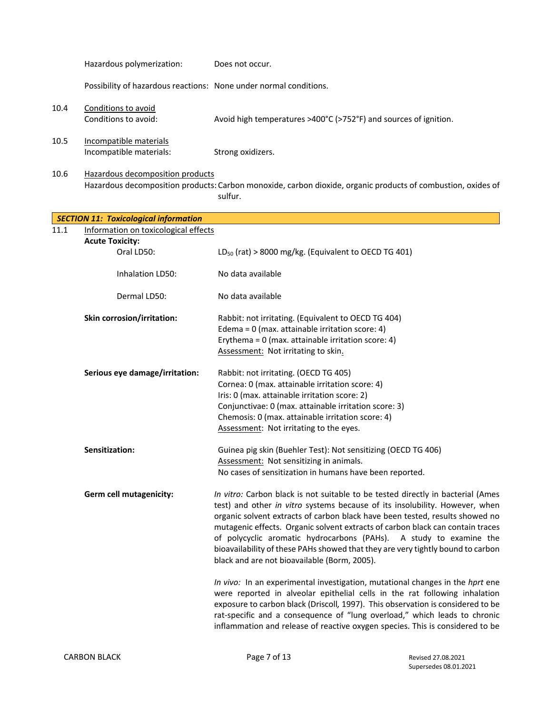|      | Hazardous polymerization:                                         | Does not occur.                                                                                                                                                                                                                                                                                                                                                                                                                                                                                                                                                                                                            |
|------|-------------------------------------------------------------------|----------------------------------------------------------------------------------------------------------------------------------------------------------------------------------------------------------------------------------------------------------------------------------------------------------------------------------------------------------------------------------------------------------------------------------------------------------------------------------------------------------------------------------------------------------------------------------------------------------------------------|
|      | Possibility of hazardous reactions: None under normal conditions. |                                                                                                                                                                                                                                                                                                                                                                                                                                                                                                                                                                                                                            |
| 10.4 | Conditions to avoid<br>Conditions to avoid:                       | Avoid high temperatures >400°C (>752°F) and sources of ignition.                                                                                                                                                                                                                                                                                                                                                                                                                                                                                                                                                           |
| 10.5 | Incompatible materials<br>Incompatible materials:                 | Strong oxidizers.                                                                                                                                                                                                                                                                                                                                                                                                                                                                                                                                                                                                          |
| 10.6 | Hazardous decomposition products                                  | Hazardous decomposition products: Carbon monoxide, carbon dioxide, organic products of combustion, oxides of<br>sulfur.                                                                                                                                                                                                                                                                                                                                                                                                                                                                                                    |
|      | <b>SECTION 11: Toxicological information</b>                      |                                                                                                                                                                                                                                                                                                                                                                                                                                                                                                                                                                                                                            |
| 11.1 | Information on toxicological effects                              |                                                                                                                                                                                                                                                                                                                                                                                                                                                                                                                                                                                                                            |
|      | <b>Acute Toxicity:</b><br>Oral LD50:                              | $LD_{50}$ (rat) > 8000 mg/kg. (Equivalent to OECD TG 401)                                                                                                                                                                                                                                                                                                                                                                                                                                                                                                                                                                  |
|      | Inhalation LD50:                                                  | No data available                                                                                                                                                                                                                                                                                                                                                                                                                                                                                                                                                                                                          |
|      | Dermal LD50:                                                      | No data available                                                                                                                                                                                                                                                                                                                                                                                                                                                                                                                                                                                                          |
|      | Skin corrosion/irritation:                                        | Rabbit: not irritating. (Equivalent to OECD TG 404)<br>Edema = 0 (max. attainable irritation score: 4)<br>Erythema = $0$ (max. attainable irritation score: 4)<br>Assessment: Not irritating to skin.                                                                                                                                                                                                                                                                                                                                                                                                                      |
|      | Serious eye damage/irritation:                                    | Rabbit: not irritating. (OECD TG 405)<br>Cornea: 0 (max. attainable irritation score: 4)<br>Iris: 0 (max. attainable irritation score: 2)<br>Conjunctivae: 0 (max. attainable irritation score: 3)<br>Chemosis: 0 (max. attainable irritation score: 4)<br>Assessment: Not irritating to the eyes.                                                                                                                                                                                                                                                                                                                         |
|      | Sensitization:                                                    | Guinea pig skin (Buehler Test): Not sensitizing (OECD TG 406)<br>Assessment: Not sensitizing in animals.<br>No cases of sensitization in humans have been reported.                                                                                                                                                                                                                                                                                                                                                                                                                                                        |
|      | Germ cell mutagenicity:                                           | In vitro: Carbon black is not suitable to be tested directly in bacterial (Ames<br>test) and other in vitro systems because of its insolubility. However, when<br>organic solvent extracts of carbon black have been tested, results showed no<br>mutagenic effects. Organic solvent extracts of carbon black can contain traces<br>of polycyclic aromatic hydrocarbons (PAHs). A study to examine the<br>bioavailability of these PAHs showed that they are very tightly bound to carbon<br>black and are not bioavailable (Borm, 2005).<br>In vivo: In an experimental investigation, mutational changes in the hprt ene |
|      |                                                                   | were reported in alveolar epithelial cells in the rat following inhalation<br>exposure to carbon black (Driscoll, 1997). This observation is considered to be<br>rat-specific and a consequence of "lung overload," which leads to chronic<br>inflammation and release of reactive oxygen species. This is considered to be                                                                                                                                                                                                                                                                                                |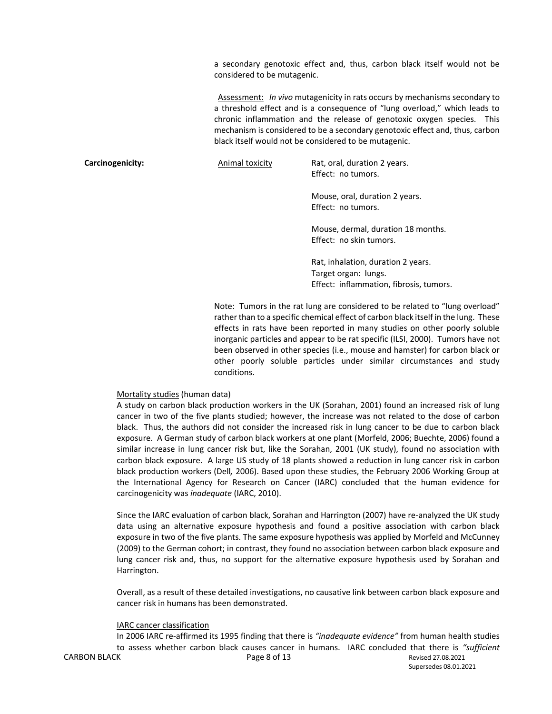a secondary genotoxic effect and, thus, carbon black itself would not be considered to be mutagenic.

Assessment: *In vivo* mutagenicity in rats occurs by mechanisms secondary to a threshold effect and is a consequence of "lung overload," which leads to chronic inflammation and the release of genotoxic oxygen species. This mechanism is considered to be a secondary genotoxic effect and, thus, carbon black itself would not be considered to be mutagenic.

**Carcinogenicity:** Animal toxicity Rat, oral, duration 2 years.

Effect: no tumors.

Mouse, oral, duration 2 years. Effect: no tumors.

Mouse, dermal, duration 18 months. Effect: no skin tumors.

Rat, inhalation, duration 2 years. Target organ: lungs. Effect: inflammation, fibrosis, tumors.

Note: Tumors in the rat lung are considered to be related to "lung overload" rather than to a specific chemical effect of carbon black itself in the lung. These effects in rats have been reported in many studies on other poorly soluble inorganic particles and appear to be rat specific (ILSI, 2000). Tumors have not been observed in other species (i.e., mouse and hamster) for carbon black or other poorly soluble particles under similar circumstances and study conditions.

#### Mortality studies (human data)

A study on carbon black production workers in the UK (Sorahan, 2001) found an increased risk of lung cancer in two of the five plants studied; however, the increase was not related to the dose of carbon black. Thus, the authors did not consider the increased risk in lung cancer to be due to carbon black exposure. A German study of carbon black workers at one plant (Morfeld, 2006; Buechte, 2006) found a similar increase in lung cancer risk but, like the Sorahan, 2001 (UK study), found no association with carbon black exposure. A large US study of 18 plants showed a reduction in lung cancer risk in carbon black production workers (Dell*,* 2006). Based upon these studies, the February 2006 Working Group at the International Agency for Research on Cancer (IARC) concluded that the human evidence for carcinogenicity was *inadequate* (IARC, 2010).

Since the IARC evaluation of carbon black, Sorahan and Harrington (2007) have re-analyzed the UK study data using an alternative exposure hypothesis and found a positive association with carbon black exposure in two of the five plants. The same exposure hypothesis was applied by Morfeld and McCunney (2009) to the German cohort; in contrast, they found no association between carbon black exposure and lung cancer risk and, thus, no support for the alternative exposure hypothesis used by Sorahan and Harrington.

Overall, as a result of these detailed investigations, no causative link between carbon black exposure and cancer risk in humans has been demonstrated.

#### IARC cancer classification

CARBON BLACK **CARBON BLACK Page 8 of 13** Revised 27.08.2021 In 2006 IARC re-affirmed its 1995 finding that there is *"inadequate evidence"* from human health studies to assess whether carbon black causes cancer in humans. IARC concluded that there is *"sufficient*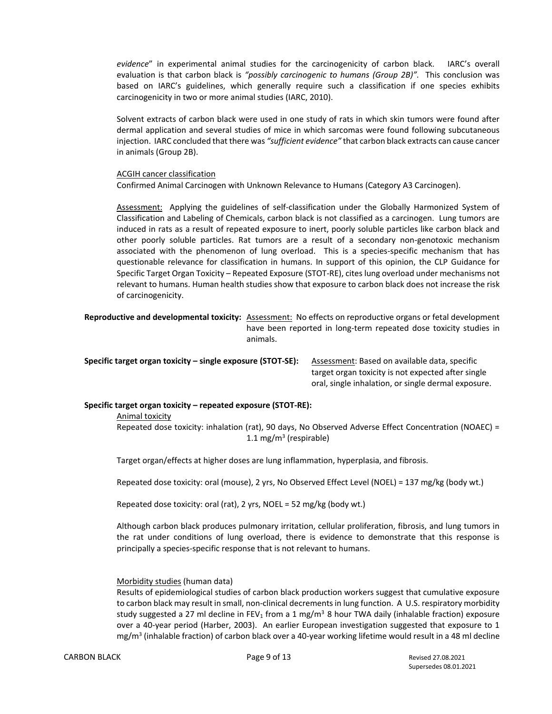*evidence*" in experimental animal studies for the carcinogenicity of carbon black. IARC's overall evaluation is that carbon black is *"possibly carcinogenic to humans (Group 2B)".* This conclusion was based on IARC's guidelines, which generally require such a classification if one species exhibits carcinogenicity in two or more animal studies (IARC, 2010).

Solvent extracts of carbon black were used in one study of rats in which skin tumors were found after dermal application and several studies of mice in which sarcomas were found following subcutaneous injection. IARC concluded that there was *"sufficient evidence"* that carbon black extracts can cause cancer in animals (Group 2B).

#### ACGIH cancer classification

Confirmed Animal Carcinogen with Unknown Relevance to Humans (Category A3 Carcinogen).

Assessment: Applying the guidelines of self-classification under the Globally Harmonized System of Classification and Labeling of Chemicals, carbon black is not classified as a carcinogen. Lung tumors are induced in rats as a result of repeated exposure to inert, poorly soluble particles like carbon black and other poorly soluble particles. Rat tumors are a result of a secondary non-genotoxic mechanism associated with the phenomenon of lung overload. This is a species-specific mechanism that has questionable relevance for classification in humans. In support of this opinion, the CLP Guidance for Specific Target Organ Toxicity – Repeated Exposure (STOT-RE), cites lung overload under mechanisms not relevant to humans. Human health studies show that exposure to carbon black does not increase the risk of carcinogenicity.

**Reproductive and developmental toxicity:** Assessment: No effects on reproductive organs or fetal development have been reported in long-term repeated dose toxicity studies in animals.

**Specific target organ toxicity – single exposure (STOT-SE):** Assessment: Based on available data, specific

target organ toxicity is not expected after single oral, single inhalation, or single dermal exposure.

## **Specific target organ toxicity – repeated exposure (STOT-RE):**

Animal toxicity

Repeated dose toxicity: inhalation (rat), 90 days, No Observed Adverse Effect Concentration (NOAEC) = 1.1 mg/m<sup>3</sup> (respirable)

Target organ/effects at higher doses are lung inflammation, hyperplasia, and fibrosis.

Repeated dose toxicity: oral (mouse), 2 yrs, No Observed Effect Level (NOEL) = 137 mg/kg (body wt.)

Repeated dose toxicity: oral (rat), 2 yrs, NOEL = 52 mg/kg (body wt.)

Although carbon black produces pulmonary irritation, cellular proliferation, fibrosis, and lung tumors in the rat under conditions of lung overload, there is evidence to demonstrate that this response is principally a species-specific response that is not relevant to humans.

## Morbidity studies (human data)

Results of epidemiological studies of carbon black production workers suggest that cumulative exposure to carbon black may result in small, non-clinical decrements in lung function. A U.S. respiratory morbidity study suggested a 27 ml decline in FEV<sub>1</sub> from a 1 mg/m<sup>3</sup> 8 hour TWA daily (inhalable fraction) exposure over a 40-year period (Harber, 2003). An earlier European investigation suggested that exposure to 1 mg/m<sup>3</sup> (inhalable fraction) of carbon black over a 40-year working lifetime would result in a 48 ml decline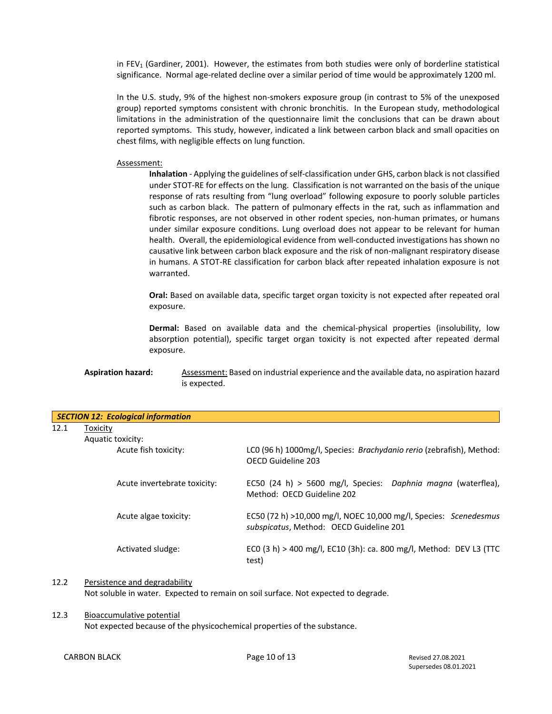in FEV<sub>1</sub> (Gardiner, 2001). However, the estimates from both studies were only of borderline statistical significance. Normal age-related decline over a similar period of time would be approximately 1200 ml.

In the U.S. study, 9% of the highest non-smokers exposure group (in contrast to 5% of the unexposed group) reported symptoms consistent with chronic bronchitis. In the European study, methodological limitations in the administration of the questionnaire limit the conclusions that can be drawn about reported symptoms. This study, however, indicated a link between carbon black and small opacities on chest films, with negligible effects on lung function.

#### Assessment:

**Inhalation** - Applying the guidelines of self-classification under GHS, carbon black is not classified under STOT-RE for effects on the lung. Classification is not warranted on the basis of the unique response of rats resulting from "lung overload" following exposure to poorly soluble particles such as carbon black. The pattern of pulmonary effects in the rat, such as inflammation and fibrotic responses, are not observed in other rodent species, non-human primates, or humans under similar exposure conditions. Lung overload does not appear to be relevant for human health. Overall, the epidemiological evidence from well-conducted investigations has shown no causative link between carbon black exposure and the risk of non-malignant respiratory disease in humans. A STOT-RE classification for carbon black after repeated inhalation exposure is not warranted.

**Oral:** Based on available data, specific target organ toxicity is not expected after repeated oral exposure.

**Dermal:** Based on available data and the chemical-physical properties (insolubility, low absorption potential), specific target organ toxicity is not expected after repeated dermal exposure.

## **Aspiration hazard:** Assessment: Based on industrial experience and the available data, no aspiration hazard is expected.

|      | <b>SECTION 12: Ecological information</b> |                                                                                                             |  |  |  |  |  |
|------|-------------------------------------------|-------------------------------------------------------------------------------------------------------------|--|--|--|--|--|
| 12.1 | Toxicity                                  |                                                                                                             |  |  |  |  |  |
|      | Aquatic toxicity:                         |                                                                                                             |  |  |  |  |  |
|      | Acute fish toxicity:                      | LCO (96 h) 1000mg/l, Species: <i>Brachydanio rerio</i> (zebrafish), Method:<br>OFCD Guideline 203           |  |  |  |  |  |
|      | Acute invertebrate toxicity:              | EC50 (24 h) > 5600 mg/l, Species: Daphnia magna (waterflea),<br>Method: OFCD Guideline 202                  |  |  |  |  |  |
|      | Acute algae toxicity:                     | EC50 (72 h) >10,000 mg/l, NOEC 10,000 mg/l, Species: Scenedesmus<br>subspicatus, Method: OECD Guideline 201 |  |  |  |  |  |
|      | Activated sludge:                         | EC0 (3 h) > 400 mg/l, EC10 (3h): ca. 800 mg/l, Method: DEV L3 (TTC<br>test)                                 |  |  |  |  |  |

#### 12.2 Persistence and degradability

Not soluble in water. Expected to remain on soil surface. Not expected to degrade.

12.3 Bioaccumulative potential Not expected because of the physicochemical properties of the substance.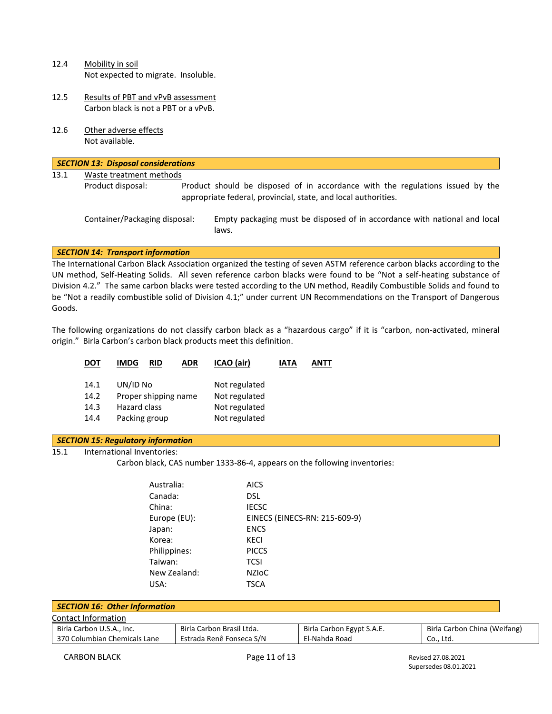- 12.4 Mobility in soil Not expected to migrate. Insoluble.
- 12.5 Results of PBT and vPvB assessment Carbon black is not a PBT or a vPvB.
- 12.6 Other adverse effects Not available.

|      | <b>SECTION 13: Disposal considerations</b> |  |                                                                                                                                                  |  |  |  |  |  |  |
|------|--------------------------------------------|--|--------------------------------------------------------------------------------------------------------------------------------------------------|--|--|--|--|--|--|
| 13.1 | Waste treatment methods                    |  |                                                                                                                                                  |  |  |  |  |  |  |
|      | Product disposal:                          |  | Product should be disposed of in accordance with the regulations issued by the<br>appropriate federal, provincial, state, and local authorities. |  |  |  |  |  |  |
|      | Container/Packaging disposal:              |  | Empty packaging must be disposed of in accordance with national and local<br>laws.                                                               |  |  |  |  |  |  |
|      | <b>SECTION 14: Transport information</b>   |  |                                                                                                                                                  |  |  |  |  |  |  |

The International Carbon Black Association organized the testing of seven ASTM reference carbon blacks according to the UN method, Self-Heating Solids. All seven reference carbon blacks were found to be "Not a self-heating substance of Division 4.2." The same carbon blacks were tested according to the UN method, Readily Combustible Solids and found to be "Not a readily combustible solid of Division 4.1;" under current UN Recommendations on the Transport of Dangerous Goods.

The following organizations do not classify carbon black as a "hazardous cargo" if it is "carbon, non-activated, mineral origin." Birla Carbon's carbon black products meet this definition.

| DOT  | <b>IMDG</b><br>ADR<br>RID | ICAO (air)    | IATA | ANTT |
|------|---------------------------|---------------|------|------|
| 14.1 | UN/ID No                  | Not regulated |      |      |
| 14.2 | Proper shipping name      | Not regulated |      |      |
| 14.3 | Hazard class              | Not regulated |      |      |
| 14.4 | Packing group             | Not regulated |      |      |
|      |                           |               |      |      |

## *SECTION 15: Regulatory information*

15.1 International Inventories:

Carbon black, CAS number 1333-86-4, appears on the following inventories:

| Australia:   | <b>AICS</b>                   |
|--------------|-------------------------------|
| Canada:      | DSL                           |
| China:       | <b>IECSC</b>                  |
| Europe (EU): | EINECS (EINECS-RN: 215-609-9) |
| Japan:       | <b>ENCS</b>                   |
| Korea:       | KECI                          |
| Philippines: | <b>PICCS</b>                  |
| Taiwan:      | <b>TCSI</b>                   |
| New Zealand: | <b>NZIOC</b>                  |
| USA:         | TSCA                          |

| <b>SECTION 16: Other Information</b> |                           |                           |                              |  |  |  |  |
|--------------------------------------|---------------------------|---------------------------|------------------------------|--|--|--|--|
| Contact Information                  |                           |                           |                              |  |  |  |  |
| Birla Carbon U.S.A., Inc.            | Birla Carbon Brasil Ltda. | Birla Carbon Egypt S.A.E. | Birla Carbon China (Weifang) |  |  |  |  |
| 370 Columbian Chemicals Lane         | Estrada Renê Fonseca S/N  | El-Nahda Road             | Co., Ltd.                    |  |  |  |  |

Supersedes 08.01.2021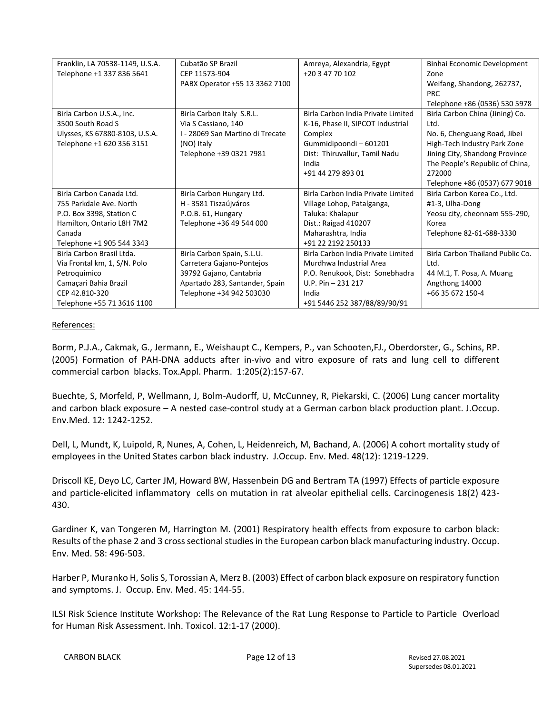| Franklin, LA 70538-1149, U.S.A. | Cubatão SP Brazil                | Amreya, Alexandria, Egypt          | Binhai Economic Development      |  |
|---------------------------------|----------------------------------|------------------------------------|----------------------------------|--|
| Telephone +1 337 836 5641       | CEP 11573-904                    | +20 3 47 70 102                    | Zone                             |  |
|                                 | PABX Operator +55 13 3362 7100   |                                    | Weifang, Shandong, 262737,       |  |
|                                 |                                  |                                    | <b>PRC</b>                       |  |
|                                 |                                  |                                    | Telephone +86 (0536) 530 5978    |  |
| Birla Carbon U.S.A., Inc.       | Birla Carbon Italy S.R.L.        | Birla Carbon India Private Limited | Birla Carbon China (Jining) Co.  |  |
| 3500 South Road S               | Via S Cassiano, 140              | K-16, Phase II, SIPCOT Industrial  | Ltd.                             |  |
| Ulysses, KS 67880-8103, U.S.A.  | I - 28069 San Martino di Trecate | Complex                            | No. 6, Chenguang Road, Jibei     |  |
| Telephone +1 620 356 3151       | (NO) Italy                       | Gummidipoondi-601201               | High-Tech Industry Park Zone     |  |
|                                 | Telephone +39 0321 7981          | Dist: Thiruvallur, Tamil Nadu      | Jining City, Shandong Province   |  |
|                                 |                                  | India                              | The People's Republic of China,  |  |
|                                 |                                  | +91 44 279 893 01                  | 272000                           |  |
|                                 |                                  |                                    | Telephone +86 (0537) 677 9018    |  |
| Birla Carbon Canada Ltd.        | Birla Carbon Hungary Ltd.        | Birla Carbon India Private Limited | Birla Carbon Korea Co., Ltd.     |  |
| 755 Parkdale Ave. North         | H - 3581 Tiszaújváros            | Village Lohop, Patalganga,         | #1-3, Ulha-Dong                  |  |
| P.O. Box 3398, Station C        | P.O.B. 61, Hungary               | Taluka: Khalapur                   | Yeosu city, cheonnam 555-290,    |  |
| Hamilton, Ontario L8H 7M2       | Telephone +36 49 544 000         | Dist.: Raigad 410207               | Korea                            |  |
| Canada                          |                                  | Maharashtra, India                 | Telephone 82-61-688-3330         |  |
| Telephone +1 905 544 3343       |                                  | +91 22 2192 250133                 |                                  |  |
| Birla Carbon Brasil Ltda.       | Birla Carbon Spain, S.L.U.       | Birla Carbon India Private Limited | Birla Carbon Thailand Public Co. |  |
| Via Frontal km, 1, S/N. Polo    | Carretera Gajano-Pontejos        | Murdhwa Industrial Area            | Ltd.                             |  |
| Petroquimico                    | 39792 Gajano, Cantabria          | P.O. Renukook, Dist: Sonebhadra    | 44 M.1, T. Posa, A. Muang        |  |
| Camaçari Bahia Brazil           | Apartado 283, Santander, Spain   | U.P. Pin $-$ 231 217               | Angthong 14000                   |  |
| CEP 42.810-320                  | Telephone +34 942 503030         | India                              | +66 35 672 150-4                 |  |
| Telephone +55 71 3616 1100      |                                  | +91 5446 252 387/88/89/90/91       |                                  |  |

## References:

Borm, P.J.A., Cakmak, G., Jermann, E., Weishaupt C., Kempers, P., van Schooten,FJ., Oberdorster, G., Schins, RP. (2005) Formation of PAH-DNA adducts after in-vivo and vitro exposure of rats and lung cell to different commercial carbon blacks. Tox.Appl. Pharm. 1:205(2):157-67.

Buechte, S, Morfeld, P, Wellmann, J, Bolm-Audorff, U, McCunney, R, Piekarski, C. (2006) Lung cancer mortality and carbon black exposure – A nested case-control study at a German carbon black production plant. J.Occup. Env.Med. 12: 1242-1252.

Dell, L, Mundt, K, Luipold, R, Nunes, A, Cohen, L, Heidenreich, M, Bachand, A. (2006) A cohort mortality study of employees in the United States carbon black industry. J.Occup. Env. Med. 48(12): 1219-1229.

Driscoll KE, Deyo LC, Carter JM, Howard BW, Hassenbein DG and Bertram TA (1997) Effects of particle exposure and particle-elicited inflammatory cells on mutation in rat alveolar epithelial cells. Carcinogenesis 18(2) 423- 430.

Gardiner K, van Tongeren M, Harrington M. (2001) Respiratory health effects from exposure to carbon black: Results of the phase 2 and 3 cross sectional studies in the European carbon black manufacturing industry. Occup. Env. Med. 58: 496-503.

Harber P, Muranko H, Solis S, Torossian A, Merz B. (2003) Effect of carbon black exposure on respiratory function and symptoms. J. Occup. Env. Med. 45: 144-55.

ILSI Risk Science Institute Workshop: The Relevance of the Rat Lung Response to Particle to Particle Overload for Human Risk Assessment. Inh. Toxicol. 12:1-17 (2000).